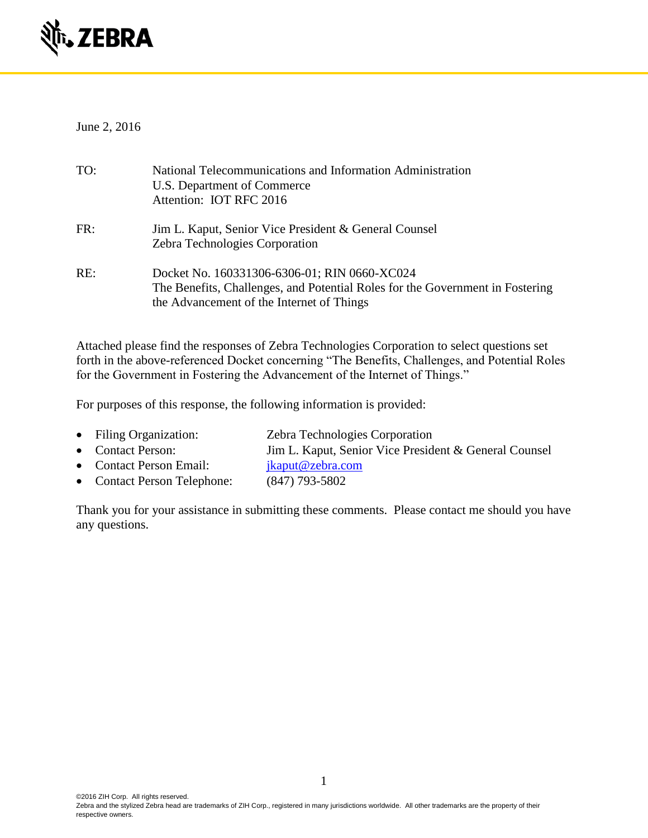

June 2, 2016

| TO: | National Telecommunications and Information Administration<br>U.S. Department of Commerce<br>Attention: IOT RFC 2016                                                       |
|-----|----------------------------------------------------------------------------------------------------------------------------------------------------------------------------|
| FR: | Jim L. Kaput, Senior Vice President & General Counsel<br>Zebra Technologies Corporation                                                                                    |
| RE: | Docket No. 160331306-6306-01; RIN 0660-XC024<br>The Benefits, Challenges, and Potential Roles for the Government in Fostering<br>the Advancement of the Internet of Things |

Attached please find the responses of Zebra Technologies Corporation to select questions set forth in the above-referenced Docket concerning "The Benefits, Challenges, and Potential Roles for the Government in Fostering the Advancement of the Internet of Things."

For purposes of this response, the following information is provided:

| • Filing Organization:      | Zebra Technologies Corporation                        |
|-----------------------------|-------------------------------------------------------|
| • Contact Person:           | Jim L. Kaput, Senior Vice President & General Counsel |
| • Contact Person Email:     | jkaput@zebra.com                                      |
| • Contact Person Telephone: | $(847)$ 793-5802                                      |

Thank you for your assistance in submitting these comments. Please contact me should you have any questions.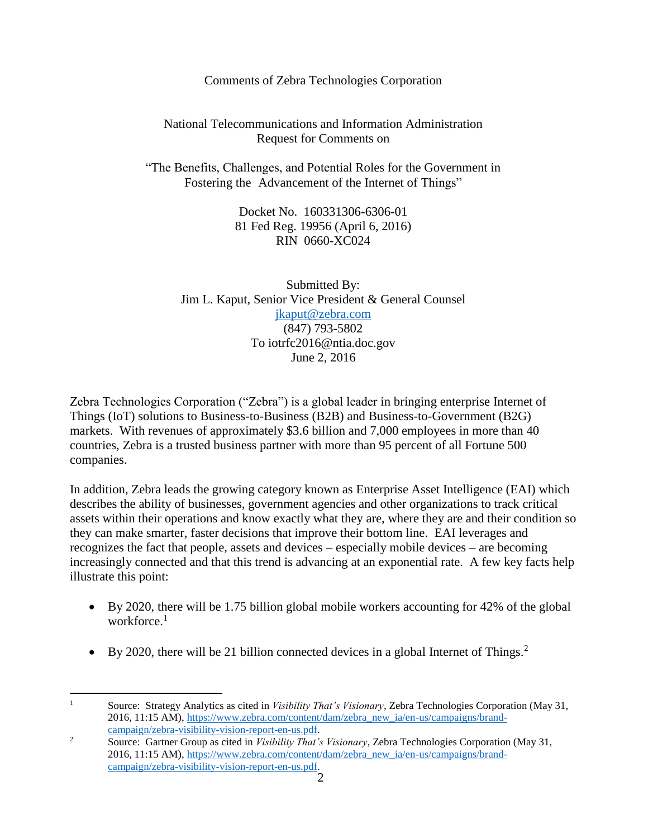## Comments of Zebra Technologies Corporation

### National Telecommunications and Information Administration Request for Comments on

"The Benefits, Challenges, and Potential Roles for the Government in Fostering the Advancement of the Internet of Things"

> Docket No. 160331306-6306-01 81 Fed Reg. 19956 (April 6, 2016) RIN 0660-XC024

Submitted By: Jim L. Kaput, Senior Vice President & General Counsel [jkaput@zebra.com](mailto:jkaput@zebra.com) (847) 793-5802 To iotrfc2016@ntia.doc.gov June 2, 2016

Zebra Technologies Corporation ("Zebra") is a global leader in bringing enterprise Internet of Things (IoT) solutions to Business-to-Business (B2B) and Business-to-Government (B2G) markets. With revenues of approximately \$3.6 billion and 7,000 employees in more than 40 countries, Zebra is a trusted business partner with more than 95 percent of all Fortune 500 companies.

In addition, Zebra leads the growing category known as Enterprise Asset Intelligence (EAI) which describes the ability of businesses, government agencies and other organizations to track critical assets within their operations and know exactly what they are, where they are and their condition so they can make smarter, faster decisions that improve their bottom line. EAI leverages and recognizes the fact that people, assets and devices – especially mobile devices – are becoming increasingly connected and that this trend is advancing at an exponential rate. A few key facts help illustrate this point:

- By 2020, there will be 1.75 billion global mobile workers accounting for 42% of the global workforce.<sup>1</sup>
- $\bullet$  By 2020, there will be 21 billion connected devices in a global Internet of Things.<sup>2</sup>

 $\overline{a}$ <sup>1</sup> Source: Strategy Analytics as cited in *Visibility That's Visionary*, Zebra Technologies Corporation (May 31, 2016, 11:15 AM)[, https://www.zebra.com/content/dam/zebra\\_new\\_ia/en-us/campaigns/brand](https://www.zebra.com/content/dam/zebra_new_ia/en-us/campaigns/brand-campaign/zebra-visibility-vision-report-en-us.pdf)[campaign/zebra-visibility-vision-report-en-us.pdf.](https://www.zebra.com/content/dam/zebra_new_ia/en-us/campaigns/brand-campaign/zebra-visibility-vision-report-en-us.pdf)

<sup>2</sup> Source: Gartner Group as cited in *Visibility That's Visionary*, Zebra Technologies Corporation (May 31, 2016, 11:15 AM)[, https://www.zebra.com/content/dam/zebra\\_new\\_ia/en-us/campaigns/brand](https://www.zebra.com/content/dam/zebra_new_ia/en-us/campaigns/brand-campaign/zebra-visibility-vision-report-en-us.pdf)[campaign/zebra-visibility-vision-report-en-us.pdf.](https://www.zebra.com/content/dam/zebra_new_ia/en-us/campaigns/brand-campaign/zebra-visibility-vision-report-en-us.pdf)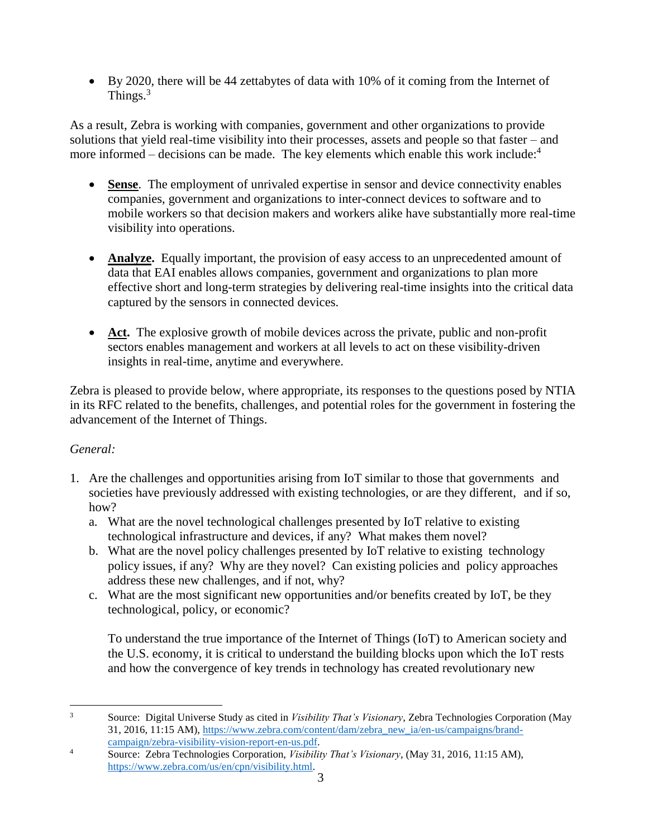By 2020, there will be 44 zettabytes of data with 10% of it coming from the Internet of Things. $3$ 

As a result, Zebra is working with companies, government and other organizations to provide solutions that yield real-time visibility into their processes, assets and people so that faster – and more informed – decisions can be made. The key elements which enable this work include: $4$ 

- **Sense**. The employment of unrivaled expertise in sensor and device connectivity enables companies, government and organizations to inter-connect devices to software and to mobile workers so that decision makers and workers alike have substantially more real-time visibility into operations.
- **Analyze.** Equally important, the provision of easy access to an unprecedented amount of data that EAI enables allows companies, government and organizations to plan more effective short and long-term strategies by delivering real-time insights into the critical data captured by the sensors in connected devices.
- **Act.** The explosive growth of mobile devices across the private, public and non-profit sectors enables management and workers at all levels to act on these visibility-driven insights in real-time, anytime and everywhere.

Zebra is pleased to provide below, where appropriate, its responses to the questions posed by NTIA in its RFC related to the benefits, challenges, and potential roles for the government in fostering the advancement of the Internet of Things.

# *General:*

- 1. Are the challenges and opportunities arising from IoT similar to those that governments and societies have previously addressed with existing technologies, or are they different, and if so, how?
	- a. What are the novel technological challenges presented by IoT relative to existing technological infrastructure and devices, if any? What makes them novel?
	- b. What are the novel policy challenges presented by IoT relative to existing technology policy issues, if any? Why are they novel? Can existing policies and policy approaches address these new challenges, and if not, why?
	- c. What are the most significant new opportunities and/or benefits created by IoT, be they technological, policy, or economic?

To understand the true importance of the Internet of Things (IoT) to American society and the U.S. economy, it is critical to understand the building blocks upon which the IoT rests and how the convergence of key trends in technology has created revolutionary new

 $\overline{\mathbf{3}}$ <sup>3</sup> Source: Digital Universe Study as cited in *Visibility That's Visionary*, Zebra Technologies Corporation (May 31, 2016, 11:15 AM)[, https://www.zebra.com/content/dam/zebra\\_new\\_ia/en-us/campaigns/brand](https://www.zebra.com/content/dam/zebra_new_ia/en-us/campaigns/brand-campaign/zebra-visibility-vision-report-en-us.pdf)[campaign/zebra-visibility-vision-report-en-us.pdf.](https://www.zebra.com/content/dam/zebra_new_ia/en-us/campaigns/brand-campaign/zebra-visibility-vision-report-en-us.pdf)

<sup>4</sup> Source: Zebra Technologies Corporation, *Visibility That's Visionary*, (May 31, 2016, 11:15 AM), [https://www.zebra.com/us/en/cpn/visibility.html.](https://www.zebra.com/us/en/cpn/visibility.html)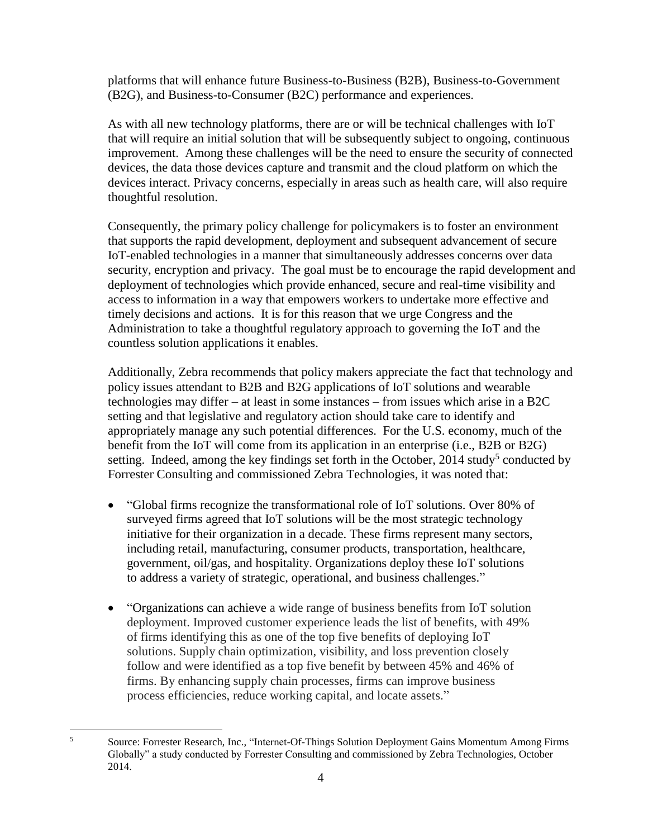platforms that will enhance future Business-to-Business (B2B), Business-to-Government (B2G), and Business-to-Consumer (B2C) performance and experiences.

As with all new technology platforms, there are or will be technical challenges with IoT that will require an initial solution that will be subsequently subject to ongoing, continuous improvement. Among these challenges will be the need to ensure the security of connected devices, the data those devices capture and transmit and the cloud platform on which the devices interact. Privacy concerns, especially in areas such as health care, will also require thoughtful resolution.

Consequently, the primary policy challenge for policymakers is to foster an environment that supports the rapid development, deployment and subsequent advancement of secure IoT-enabled technologies in a manner that simultaneously addresses concerns over data security, encryption and privacy. The goal must be to encourage the rapid development and deployment of technologies which provide enhanced, secure and real-time visibility and access to information in a way that empowers workers to undertake more effective and timely decisions and actions. It is for this reason that we urge Congress and the Administration to take a thoughtful regulatory approach to governing the IoT and the countless solution applications it enables.

Additionally, Zebra recommends that policy makers appreciate the fact that technology and policy issues attendant to B2B and B2G applications of IoT solutions and wearable technologies may differ – at least in some instances – from issues which arise in a B2C setting and that legislative and regulatory action should take care to identify and appropriately manage any such potential differences. For the U.S. economy, much of the benefit from the IoT will come from its application in an enterprise (i.e., B2B or B2G) setting. Indeed, among the key findings set forth in the October, 2014 study<sup>5</sup> conducted by Forrester Consulting and commissioned Zebra Technologies, it was noted that:

- "Global firms recognize the transformational role of IoT solutions. Over 80% of surveyed firms agreed that IoT solutions will be the most strategic technology initiative for their organization in a decade. These firms represent many sectors, including retail, manufacturing, consumer products, transportation, healthcare, government, oil/gas, and hospitality. Organizations deploy these IoT solutions to address a variety of strategic, operational, and business challenges."
- "Organizations can achieve a wide range of business benefits from IoT solution deployment. Improved customer experience leads the list of benefits, with 49% of firms identifying this as one of the top five benefits of deploying IoT solutions. Supply chain optimization, visibility, and loss prevention closely follow and were identified as a top five benefit by between 45% and 46% of firms. By enhancing supply chain processes, firms can improve business process efficiencies, reduce working capital, and locate assets."

 $\overline{\mathbf{5}}$ <sup>5</sup> Source: Forrester Research, Inc., "Internet-Of-Things Solution Deployment Gains Momentum Among Firms Globally" a study conducted by Forrester Consulting and commissioned by Zebra Technologies, October 2014.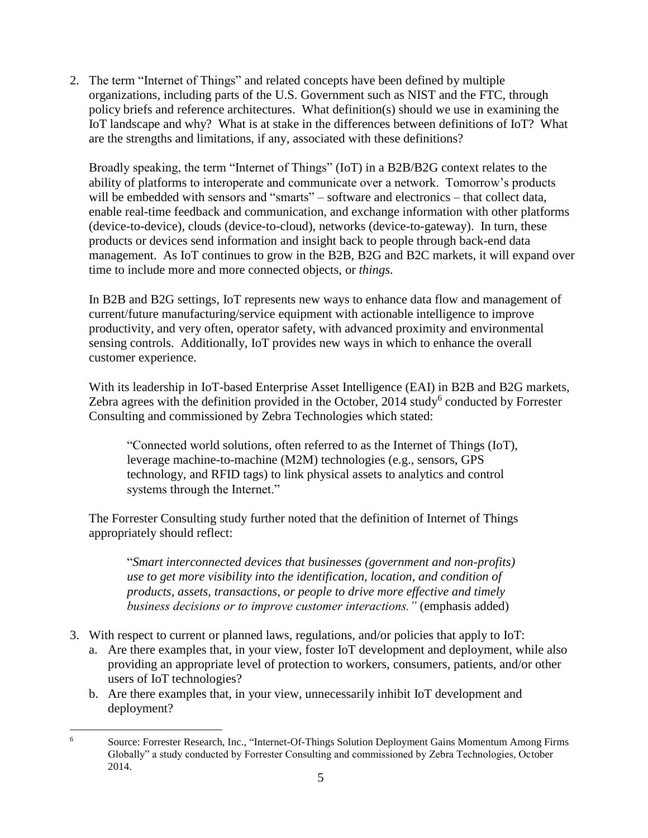2. The term "Internet of Things" and related concepts have been defined by multiple organizations, including parts of the U.S. Government such as NIST and the FTC, through policy briefs and reference architectures. What definition(s) should we use in examining the IoT landscape and why? What is at stake in the differences between definitions of IoT? What are the strengths and limitations, if any, associated with these definitions?

Broadly speaking, the term "Internet of Things" (IoT) in a B2B/B2G context relates to the ability of platforms to interoperate and communicate over a network. Tomorrow's products will be embedded with sensors and "smarts" – software and electronics – that collect data, enable real-time feedback and communication, and exchange information with other platforms (device-to-device), clouds (device-to-cloud), networks (device-to-gateway). In turn, these products or devices send information and insight back to people through back-end data management. As IoT continues to grow in the B2B, B2G and B2C markets, it will expand over time to include more and more connected objects, or *things.*

In B2B and B2G settings, IoT represents new ways to enhance data flow and management of current/future manufacturing/service equipment with actionable intelligence to improve productivity, and very often, operator safety, with advanced proximity and environmental sensing controls. Additionally, IoT provides new ways in which to enhance the overall customer experience.

With its leadership in IoT-based Enterprise Asset Intelligence (EAI) in B2B and B2G markets, Zebra agrees with the definition provided in the October,  $2014$  study<sup>6</sup> conducted by Forrester Consulting and commissioned by Zebra Technologies which stated:

"Connected world solutions, often referred to as the Internet of Things (IoT), leverage machine-to-machine (M2M) technologies (e.g., sensors, GPS technology, and RFID tags) to link physical assets to analytics and control systems through the Internet."

The Forrester Consulting study further noted that the definition of Internet of Things appropriately should reflect:

"*Smart interconnected devices that businesses (government and non-profits) use to get more visibility into the identification, location, and condition of products, assets, transactions, or people to drive more effective and timely business decisions or to improve customer interactions."* (emphasis added)

- 3. With respect to current or planned laws, regulations, and/or policies that apply to IoT:
	- a. Are there examples that, in your view, foster IoT development and deployment, while also providing an appropriate level of protection to workers, consumers, patients, and/or other users of IoT technologies?
	- b. Are there examples that, in your view, unnecessarily inhibit IoT development and deployment?

 $\overline{6}$ <sup>6</sup> Source: Forrester Research, Inc., "Internet-Of-Things Solution Deployment Gains Momentum Among Firms Globally" a study conducted by Forrester Consulting and commissioned by Zebra Technologies, October 2014.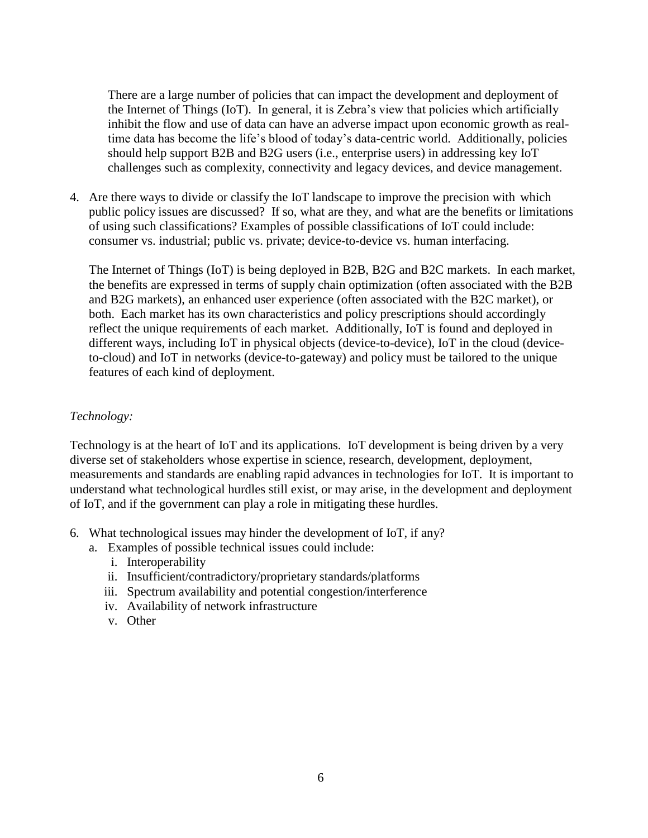There are a large number of policies that can impact the development and deployment of the Internet of Things (IoT). In general, it is Zebra's view that policies which artificially inhibit the flow and use of data can have an adverse impact upon economic growth as realtime data has become the life's blood of today's data-centric world. Additionally, policies should help support B2B and B2G users (i.e., enterprise users) in addressing key IoT challenges such as complexity, connectivity and legacy devices, and device management.

4. Are there ways to divide or classify the IoT landscape to improve the precision with which public policy issues are discussed? If so, what are they, and what are the benefits or limitations of using such classifications? Examples of possible classifications of IoT could include: consumer vs. industrial; public vs. private; device-to-device vs. human interfacing.

The Internet of Things (IoT) is being deployed in B2B, B2G and B2C markets. In each market, the benefits are expressed in terms of supply chain optimization (often associated with the B2B and B2G markets), an enhanced user experience (often associated with the B2C market), or both. Each market has its own characteristics and policy prescriptions should accordingly reflect the unique requirements of each market. Additionally, IoT is found and deployed in different ways, including IoT in physical objects (device-to-device), IoT in the cloud (deviceto-cloud) and IoT in networks (device-to-gateway) and policy must be tailored to the unique features of each kind of deployment.

## *Technology:*

Technology is at the heart of IoT and its applications. IoT development is being driven by a very diverse set of stakeholders whose expertise in science, research, development, deployment, measurements and standards are enabling rapid advances in technologies for IoT. It is important to understand what technological hurdles still exist, or may arise, in the development and deployment of IoT, and if the government can play a role in mitigating these hurdles.

- 6. What technological issues may hinder the development of IoT, if any?
	- a. Examples of possible technical issues could include:
		- i. Interoperability
		- ii. Insufficient/contradictory/proprietary standards/platforms
		- iii. Spectrum availability and potential congestion/interference
		- iv. Availability of network infrastructure
		- v. Other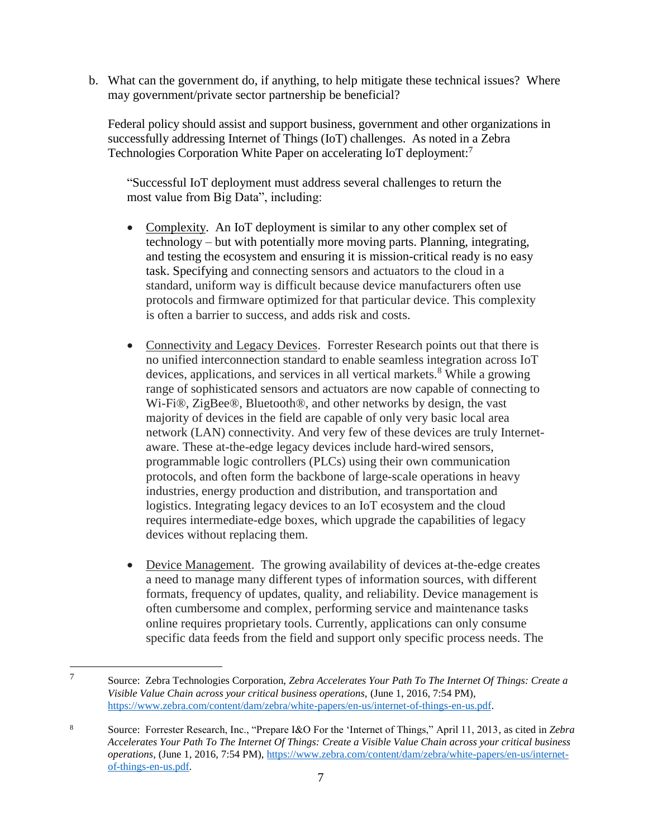b. What can the government do, if anything, to help mitigate these technical issues? Where may government/private sector partnership be beneficial?

Federal policy should assist and support business, government and other organizations in successfully addressing Internet of Things (IoT) challenges. As noted in a Zebra Technologies Corporation White Paper on accelerating IoT deployment: 7

"Successful IoT deployment must address several challenges to return the most value from Big Data", including:

- Complexity. An IoT deployment is similar to any other complex set of technology – but with potentially more moving parts. Planning, integrating, and testing the ecosystem and ensuring it is mission-critical ready is no easy task. Specifying and connecting sensors and actuators to the cloud in a standard, uniform way is difficult because device manufacturers often use protocols and firmware optimized for that particular device. This complexity is often a barrier to success, and adds risk and costs.
- Connectivity and Legacy Devices. Forrester Research points out that there is no unified interconnection standard to enable seamless integration across IoT devices, applications, and services in all vertical markets.<sup>8</sup> While a growing range of sophisticated sensors and actuators are now capable of connecting to Wi-Fi®, ZigBee®, Bluetooth®, and other networks by design, the vast majority of devices in the field are capable of only very basic local area network (LAN) connectivity. And very few of these devices are truly Internetaware. These at-the-edge legacy devices include hard-wired sensors, programmable logic controllers (PLCs) using their own communication protocols, and often form the backbone of large-scale operations in heavy industries, energy production and distribution, and transportation and logistics. Integrating legacy devices to an IoT ecosystem and the cloud requires intermediate-edge boxes, which upgrade the capabilities of legacy devices without replacing them.
- Device Management. The growing availability of devices at-the-edge creates a need to manage many different types of information sources, with different formats, frequency of updates, quality, and reliability. Device management is often cumbersome and complex, performing service and maintenance tasks online requires proprietary tools. Currently, applications can only consume specific data feeds from the field and support only specific process needs. The

 $\overline{a}$ 

<sup>7</sup> Source: Zebra Technologies Corporation, *Zebra Accelerates Your Path To The Internet Of Things: Create a Visible Value Chain across your critical business operations,* (June 1, 2016, 7:54 PM), [https://www.zebra.com/content/dam/zebra/white-papers/en-us/internet-of-things-en-us.pdf.](https://www.zebra.com/content/dam/zebra/white-papers/en-us/internet-of-things-en-us.pdf)

<sup>8</sup> Source: Forrester Research, Inc., "Prepare I&O For the 'Internet of Things," April 11, 2013, as cited in *Zebra Accelerates Your Path To The Internet Of Things: Create a Visible Value Chain across your critical business operations*, (June 1, 2016, 7:54 PM), [https://www.zebra.com/content/dam/zebra/white-papers/en-us/internet](https://www.zebra.com/content/dam/zebra/white-papers/en-us/internet-of-things-en-us.pdf)[of-things-en-us.pdf.](https://www.zebra.com/content/dam/zebra/white-papers/en-us/internet-of-things-en-us.pdf)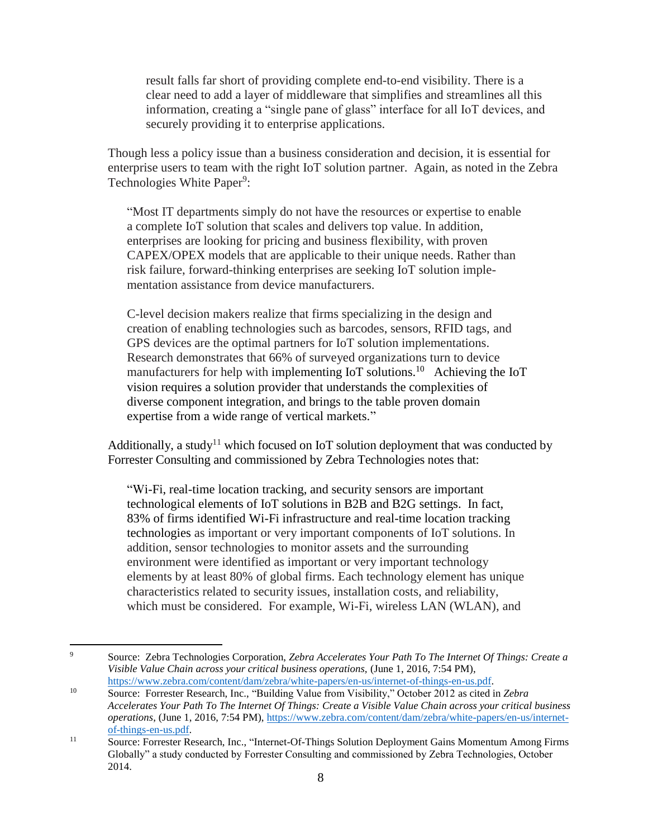result falls far short of providing complete end-to-end visibility. There is a clear need to add a layer of middleware that simplifies and streamlines all this information, creating a "single pane of glass" interface for all IoT devices, and securely providing it to enterprise applications.

Though less a policy issue than a business consideration and decision, it is essential for enterprise users to team with the right IoT solution partner. Again, as noted in the Zebra Technologies White Paper<sup>9</sup>:

"Most IT departments simply do not have the resources or expertise to enable a complete IoT solution that scales and delivers top value. In addition, enterprises are looking for pricing and business flexibility, with proven CAPEX/OPEX models that are applicable to their unique needs. Rather than risk failure, forward-thinking enterprises are seeking IoT solution implementation assistance from device manufacturers.

C-level decision makers realize that firms specializing in the design and creation of enabling technologies such as barcodes, sensors, RFID tags, and GPS devices are the optimal partners for IoT solution implementations. Research demonstrates that 66% of surveyed organizations turn to device manufacturers for help with implementing IoT solutions.<sup>10</sup> Achieving the IoT vision requires a solution provider that understands the complexities of diverse component integration, and brings to the table proven domain expertise from a wide range of vertical markets."

Additionally, a study<sup>11</sup> which focused on IoT solution deployment that was conducted by Forrester Consulting and commissioned by Zebra Technologies notes that:

"Wi-Fi, real-time location tracking, and security sensors are important technological elements of IoT solutions in B2B and B2G settings. In fact, 83% of firms identified Wi-Fi infrastructure and real-time location tracking technologies as important or very important components of IoT solutions. In addition, sensor technologies to monitor assets and the surrounding environment were identified as important or very important technology elements by at least 80% of global firms. Each technology element has unique characteristics related to security issues, installation costs, and reliability, which must be considered. For example, Wi-Fi, wireless LAN (WLAN), and

 $\overline{a}$ 

<sup>9</sup> Source: Zebra Technologies Corporation, *Zebra Accelerates Your Path To The Internet Of Things: Create a Visible Value Chain across your critical business operations,* (June 1, 2016, 7:54 PM), [https://www.zebra.com/content/dam/zebra/white-papers/en-us/internet-of-things-en-us.pdf.](https://www.zebra.com/content/dam/zebra/white-papers/en-us/internet-of-things-en-us.pdf)

<sup>10</sup> Source: Forrester Research, Inc., "Building Value from Visibility," October 2012 as cited in *Zebra Accelerates Your Path To The Internet Of Things: Create a Visible Value Chain across your critical business operations*, (June 1, 2016, 7:54 PM), [https://www.zebra.com/content/dam/zebra/white-papers/en-us/internet](https://www.zebra.com/content/dam/zebra/white-papers/en-us/internet-of-things-en-us.pdf)[of-things-en-us.pdf.](https://www.zebra.com/content/dam/zebra/white-papers/en-us/internet-of-things-en-us.pdf)

<sup>11</sup> Source: Forrester Research, Inc., "Internet-Of-Things Solution Deployment Gains Momentum Among Firms Globally" a study conducted by Forrester Consulting and commissioned by Zebra Technologies, October 2014.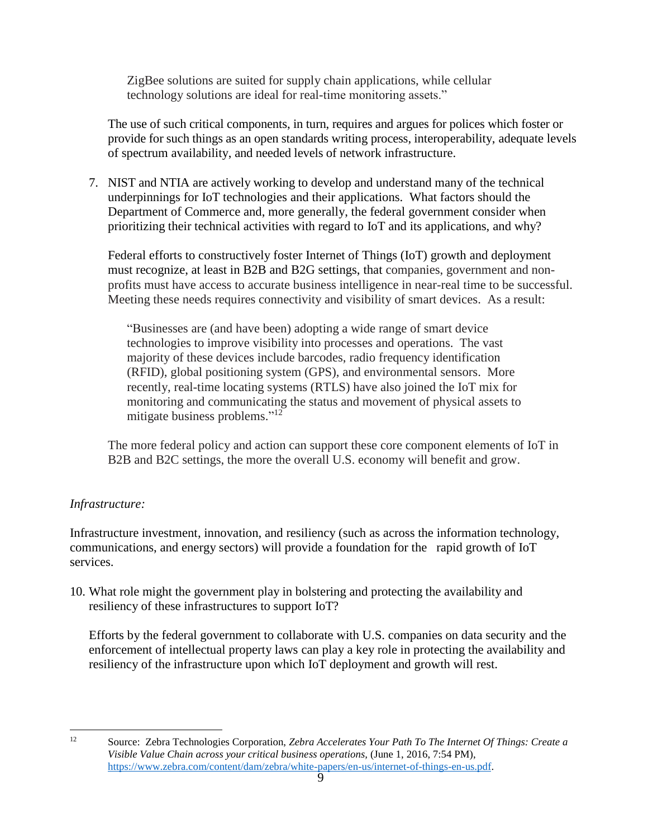ZigBee solutions are suited for supply chain applications, while cellular technology solutions are ideal for real-time monitoring assets."

The use of such critical components, in turn, requires and argues for polices which foster or provide for such things as an open standards writing process, interoperability, adequate levels of spectrum availability, and needed levels of network infrastructure.

7. NIST and NTIA are actively working to develop and understand many of the technical underpinnings for IoT technologies and their applications. What factors should the Department of Commerce and, more generally, the federal government consider when prioritizing their technical activities with regard to IoT and its applications, and why?

Federal efforts to constructively foster Internet of Things (IoT) growth and deployment must recognize, at least in B2B and B2G settings, that companies, government and nonprofits must have access to accurate business intelligence in near-real time to be successful. Meeting these needs requires connectivity and visibility of smart devices. As a result:

"Businesses are (and have been) adopting a wide range of smart device technologies to improve visibility into processes and operations. The vast majority of these devices include barcodes, radio frequency identification (RFID), global positioning system (GPS), and environmental sensors. More recently, real-time locating systems (RTLS) have also joined the IoT mix for monitoring and communicating the status and movement of physical assets to mitigate business problems."<sup>12</sup>

The more federal policy and action can support these core component elements of IoT in B2B and B2C settings, the more the overall U.S. economy will benefit and grow.

# *Infrastructure:*

Infrastructure investment, innovation, and resiliency (such as across the information technology, communications, and energy sectors) will provide a foundation for the rapid growth of IoT services.

10. What role might the government play in bolstering and protecting the availability and resiliency of these infrastructures to support IoT?

Efforts by the federal government to collaborate with U.S. companies on data security and the enforcement of intellectual property laws can play a key role in protecting the availability and resiliency of the infrastructure upon which IoT deployment and growth will rest.

 $12<sup>12</sup>$ 

<sup>12</sup> Source: Zebra Technologies Corporation, *Zebra Accelerates Your Path To The Internet Of Things: Create a Visible Value Chain across your critical business operations,* (June 1, 2016, 7:54 PM), [https://www.zebra.com/content/dam/zebra/white-papers/en-us/internet-of-things-en-us.pdf.](https://www.zebra.com/content/dam/zebra/white-papers/en-us/internet-of-things-en-us.pdf)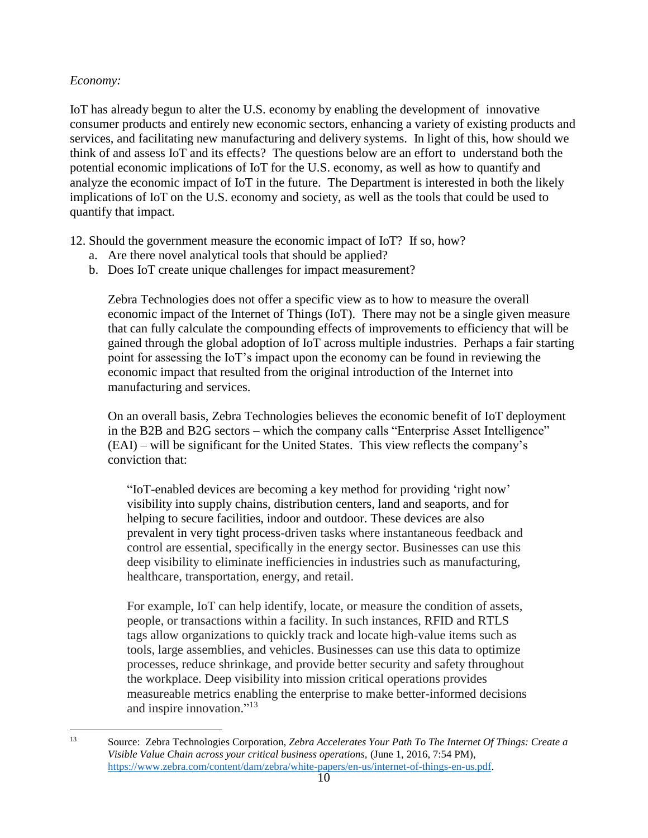## *Economy:*

IoT has already begun to alter the U.S. economy by enabling the development of innovative consumer products and entirely new economic sectors, enhancing a variety of existing products and services, and facilitating new manufacturing and delivery systems. In light of this, how should we think of and assess IoT and its effects?The questions below are an effort to understand both the potential economic implications of IoT for the U.S. economy, as well as how to quantify and analyze the economic impact of IoT in the future. The Department is interested in both the likely implications of IoT on the U.S. economy and society, as well as the tools that could be used to quantify that impact.

- 12. Should the government measure the economic impact of IoT? If so, how?
	- a. Are there novel analytical tools that should be applied?
	- b. Does IoT create unique challenges for impact measurement?

Zebra Technologies does not offer a specific view as to how to measure the overall economic impact of the Internet of Things (IoT). There may not be a single given measure that can fully calculate the compounding effects of improvements to efficiency that will be gained through the global adoption of IoT across multiple industries. Perhaps a fair starting point for assessing the IoT's impact upon the economy can be found in reviewing the economic impact that resulted from the original introduction of the Internet into manufacturing and services.

On an overall basis, Zebra Technologies believes the economic benefit of IoT deployment in the B2B and B2G sectors – which the company calls "Enterprise Asset Intelligence" (EAI) – will be significant for the United States. This view reflects the company's conviction that:

"IoT-enabled devices are becoming a key method for providing 'right now' visibility into supply chains, distribution centers, land and seaports, and for helping to secure facilities, indoor and outdoor. These devices are also prevalent in very tight process-driven tasks where instantaneous feedback and control are essential, specifically in the energy sector. Businesses can use this deep visibility to eliminate inefficiencies in industries such as manufacturing, healthcare, transportation, energy, and retail.

For example, IoT can help identify, locate, or measure the condition of assets, people, or transactions within a facility. In such instances, RFID and RTLS tags allow organizations to quickly track and locate high-value items such as tools, large assemblies, and vehicles. Businesses can use this data to optimize processes, reduce shrinkage, and provide better security and safety throughout the workplace. Deep visibility into mission critical operations provides measureable metrics enabling the enterprise to make better-informed decisions and inspire innovation." 13

 $13$ <sup>13</sup> Source: Zebra Technologies Corporation, *Zebra Accelerates Your Path To The Internet Of Things: Create a Visible Value Chain across your critical business operations,* (June 1, 2016, 7:54 PM), [https://www.zebra.com/content/dam/zebra/white-papers/en-us/internet-of-things-en-us.pdf.](https://www.zebra.com/content/dam/zebra/white-papers/en-us/internet-of-things-en-us.pdf)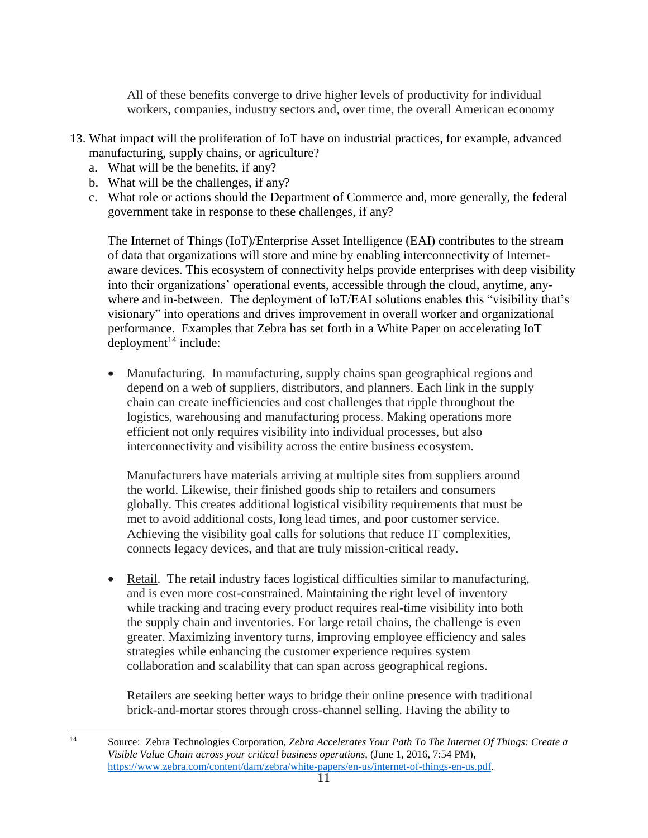All of these benefits converge to drive higher levels of productivity for individual workers, companies, industry sectors and, over time, the overall American economy

- 13. What impact will the proliferation of IoT have on industrial practices, for example, advanced manufacturing, supply chains, or agriculture?
	- a. What will be the benefits, if any?
	- b. What will be the challenges, if any?
	- c. What role or actions should the Department of Commerce and, more generally, the federal government take in response to these challenges, if any?

The Internet of Things (IoT)/Enterprise Asset Intelligence (EAI) contributes to the stream of data that organizations will store and mine by enabling interconnectivity of Internetaware devices. This ecosystem of connectivity helps provide enterprises with deep visibility into their organizations' operational events, accessible through the cloud, anytime, anywhere and in-between. The deployment of IoT/EAI solutions enables this "visibility that's visionary" into operations and drives improvement in overall worker and organizational performance. Examples that Zebra has set forth in a White Paper on accelerating IoT  $deployment<sup>14</sup>$  include:

• Manufacturing. In manufacturing, supply chains span geographical regions and depend on a web of suppliers, distributors, and planners. Each link in the supply chain can create inefficiencies and cost challenges that ripple throughout the logistics, warehousing and manufacturing process. Making operations more efficient not only requires visibility into individual processes, but also interconnectivity and visibility across the entire business ecosystem.

Manufacturers have materials arriving at multiple sites from suppliers around the world. Likewise, their finished goods ship to retailers and consumers globally. This creates additional logistical visibility requirements that must be met to avoid additional costs, long lead times, and poor customer service. Achieving the visibility goal calls for solutions that reduce IT complexities, connects legacy devices, and that are truly mission-critical ready.

 Retail. The retail industry faces logistical difficulties similar to manufacturing, and is even more cost-constrained. Maintaining the right level of inventory while tracking and tracing every product requires real-time visibility into both the supply chain and inventories. For large retail chains, the challenge is even greater. Maximizing inventory turns, improving employee efficiency and sales strategies while enhancing the customer experience requires system collaboration and scalability that can span across geographical regions.

Retailers are seeking better ways to bridge their online presence with traditional brick-and-mortar stores through cross-channel selling. Having the ability to

 $14$ <sup>14</sup> Source: Zebra Technologies Corporation, *Zebra Accelerates Your Path To The Internet Of Things: Create a Visible Value Chain across your critical business operations,* (June 1, 2016, 7:54 PM), [https://www.zebra.com/content/dam/zebra/white-papers/en-us/internet-of-things-en-us.pdf.](https://www.zebra.com/content/dam/zebra/white-papers/en-us/internet-of-things-en-us.pdf)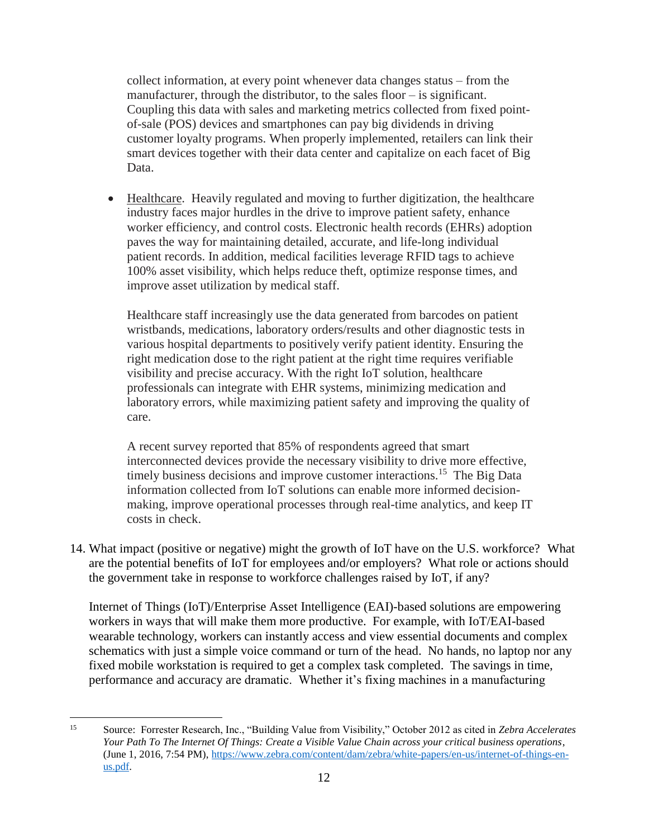collect information, at every point whenever data changes status – from the manufacturer, through the distributor, to the sales floor – is significant. Coupling this data with sales and marketing metrics collected from fixed pointof-sale (POS) devices and smartphones can pay big dividends in driving customer loyalty programs. When properly implemented, retailers can link their smart devices together with their data center and capitalize on each facet of Big Data.

 Healthcare. Heavily regulated and moving to further digitization, the healthcare industry faces major hurdles in the drive to improve patient safety, enhance worker efficiency, and control costs. Electronic health records (EHRs) adoption paves the way for maintaining detailed, accurate, and life-long individual patient records. In addition, medical facilities leverage RFID tags to achieve 100% asset visibility, which helps reduce theft, optimize response times, and improve asset utilization by medical staff.

Healthcare staff increasingly use the data generated from barcodes on patient wristbands, medications, laboratory orders/results and other diagnostic tests in various hospital departments to positively verify patient identity. Ensuring the right medication dose to the right patient at the right time requires verifiable visibility and precise accuracy. With the right IoT solution, healthcare professionals can integrate with EHR systems, minimizing medication and laboratory errors, while maximizing patient safety and improving the quality of care.

A recent survey reported that 85% of respondents agreed that smart interconnected devices provide the necessary visibility to drive more effective, timely business decisions and improve customer interactions.<sup>15</sup> The Big Data information collected from IoT solutions can enable more informed decisionmaking, improve operational processes through real-time analytics, and keep IT costs in check.

14. What impact (positive or negative) might the growth of IoT have on the U.S. workforce? What are the potential benefits of IoT for employees and/or employers? What role or actions should the government take in response to workforce challenges raised by IoT, if any?

Internet of Things (IoT)/Enterprise Asset Intelligence (EAI)-based solutions are empowering workers in ways that will make them more productive. For example, with IoT/EAI-based wearable technology, workers can instantly access and view essential documents and complex schematics with just a simple voice command or turn of the head. No hands, no laptop nor any fixed mobile workstation is required to get a complex task completed. The savings in time, performance and accuracy are dramatic. Whether it's fixing machines in a manufacturing

 $15$ 

<sup>15</sup> Source: Forrester Research, Inc., "Building Value from Visibility," October 2012 as cited in *Zebra Accelerates Your Path To The Internet Of Things: Create a Visible Value Chain across your critical business operations*, (June 1, 2016, 7:54 PM)[, https://www.zebra.com/content/dam/zebra/white-papers/en-us/internet-of-things-en](https://www.zebra.com/content/dam/zebra/white-papers/en-us/internet-of-things-en-us.pdf)[us.pdf.](https://www.zebra.com/content/dam/zebra/white-papers/en-us/internet-of-things-en-us.pdf)